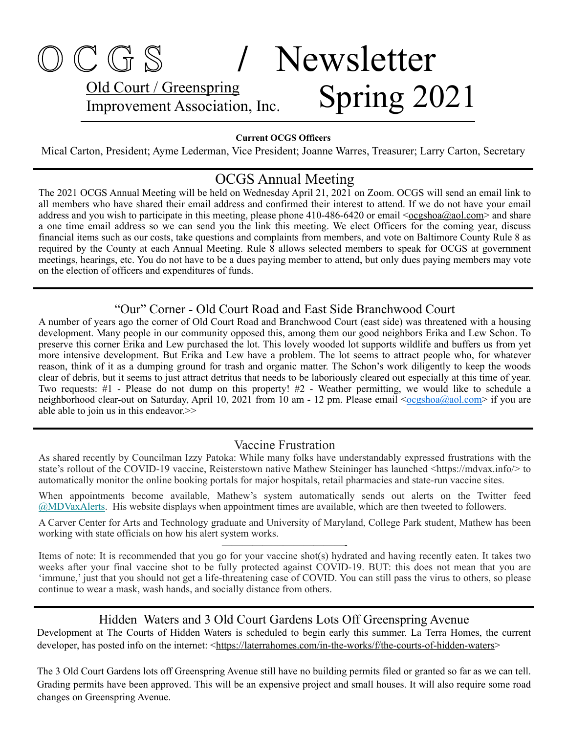## O C G S **/** Newsletter Old Court / Greenspring Old Court / Greenspring<br>Improvement Association, Inc. Spring 2021

#### **Current OCGS Officers**

Mical Carton, President; Ayme Lederman, Vice President; Joanne Warres, Treasurer; Larry Carton, Secretary

#### OCGS Annual Meeting

The 2021 OCGS Annual Meeting will be held on Wednesday April 21, 2021 on Zoom. OCGS will send an email link to all members who have shared their email address and confirmed their interest to attend. If we do not have your email address and you wish to participate in this meeting, please phone 410-486-6420 or email  $\langle \frac{\text{ocgshoa}(a)}{\text{aol.com}} \rangle$  and share a one time email address so we can send you the link this meeting. We elect Officers for the coming year, discuss financial items such as our costs, take questions and complaints from members, and vote on Baltimore County Rule 8 as required by the County at each Annual Meeting. Rule 8 allows selected members to speak for OCGS at government meetings, hearings, etc. You do not have to be a dues paying member to attend, but only dues paying members may vote on the election of officers and expenditures of funds.

#### "Our" Corner - Old Court Road and East Side Branchwood Court

A number of years ago the corner of Old Court Road and Branchwood Court (east side) was threatened with a housing development. Many people in our community opposed this, among them our good neighbors Erika and Lew Schon. To preserve this corner Erika and Lew purchased the lot. This lovely wooded lot supports wildlife and buffers us from yet more intensive development. But Erika and Lew have a problem. The lot seems to attract people who, for whatever reason, think of it as a dumping ground for trash and organic matter. The Schon's work diligently to keep the woods clear of debris, but it seems to just attract detritus that needs to be laboriously cleared out especially at this time of year. Two requests: #1 - Please do not dump on this property! #2 - Weather permitting, we would like to schedule a neighborhood clear-out on Saturday, April 10, 2021 from 10 am - 12 pm. Please email  $\leq \text{ocgshoa}(Q)$ aol.com> if you are able able to join us in this endeavor.>>

#### Vaccine Frustration

As shared recently by Councilman Izzy Patoka: While many folks have understandably expressed frustrations with the state's rollout of the COVID-19 vaccine, Reisterstown native Mathew Steininger has launched <https://mdvax.info/> to automatically monitor the online booking portals for major hospitals, retail pharmacies and state-run vaccine sites.

When appointments become available, Mathew's system automatically sends out alerts on the Twitter feed [@MDVaxAlerts](https://pgccinc.us11.list-manage.com/track/click?u=e55cc428e9544103ec08abc85&id=91f11553d0&e=05953b62b2). His website displays when appointment times are available, which are then tweeted to followers.

A Carver Center for Arts and Technology graduate and University of Maryland, College Park student, Mathew has been working with state officials on how his alert system works. ————————————-

Items of note: It is recommended that you go for your vaccine shot(s) hydrated and having recently eaten. It takes two weeks after your final vaccine shot to be fully protected against COVID-19. BUT: this does not mean that you are 'immune,' just that you should not get a life-threatening case of COVID. You can still pass the virus to others, so please continue to wear a mask, wash hands, and socially distance from others.

#### Hidden Waters and 3 Old Court Gardens Lots Off Greenspring Avenue

Development at The Courts of Hidden Waters is scheduled to begin early this summer. La Terra Homes, the current developer, has posted info on the internet: [<https://laterrahomes.com/in-the-works/f/the-courts-of-hidden-waters](https://laterrahomes.com/in-the-works/f/the-courts-of-hidden-waters)>

The 3 Old Court Gardens lots off Greenspring Avenue still have no building permits filed or granted so far as we can tell. Grading permits have been approved. This will be an expensive project and small houses. It will also require some road changes on Greenspring Avenue.